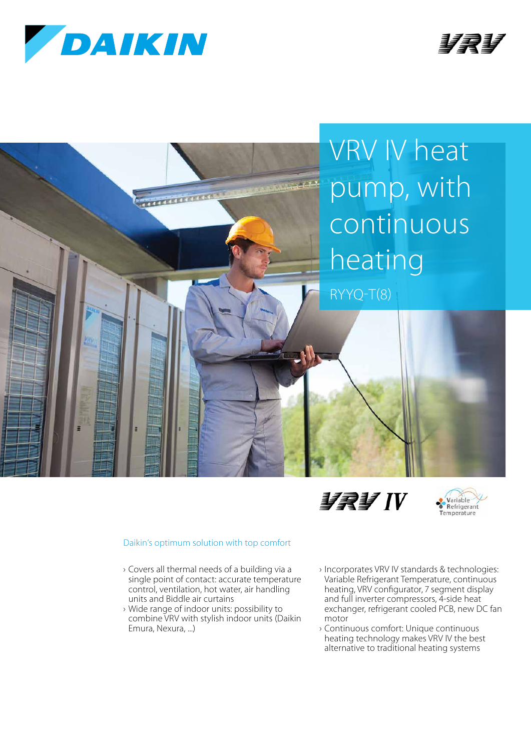









## Daikin's optimum solution with top comfort

- › Covers all thermal needs of a building via a single point of contact: accurate temperature control, ventilation, hot water, air handling units and Biddle air curtains
- › Wide range of indoor units: possibility to combine VRV with stylish indoor units (Daikin Emura, Nexura, ...)
- › Incorporates VRV IV standards & technologies: Variable Refrigerant Temperature, continuous heating, VRV configurator, 7 segment display and full inverter compressors, 4-side heat exchanger, refrigerant cooled PCB, new DC fan motor
- › Continuous comfort: Unique continuous heating technology makes VRV IV the best alternative to traditional heating systems